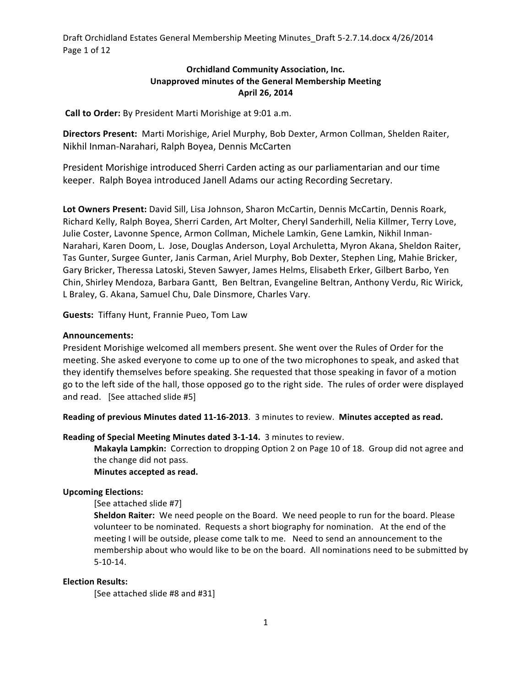Draft Orchidland Estates General Membership Meeting Minutes\_Draft 5-2.7.14.docx 4/26/2014 Page 1 of 12

# **Orchidland Community Association, Inc. Unapproved minutes of the General Membership Meeting April 26, 2014**

**Call to Order:** By President Marti Morishige at 9:01 a.m.

**Directors Present:** Marti Morishige, Ariel Murphy, Bob Dexter, Armon Collman, Shelden Raiter, Nikhil Inman-Narahari, Ralph Boyea, Dennis McCarten

President Morishige introduced Sherri Carden acting as our parliamentarian and our time keeper. Ralph Boyea introduced Janell Adams our acting Recording Secretary.

Lot Owners Present: David Sill, Lisa Johnson, Sharon McCartin, Dennis McCartin, Dennis Roark, Richard Kelly, Ralph Boyea, Sherri Carden, Art Molter, Cheryl Sanderhill, Nelia Killmer, Terry Love, Julie Coster, Lavonne Spence, Armon Collman, Michele Lamkin, Gene Lamkin, Nikhil Inman-Narahari, Karen Doom, L. Jose, Douglas Anderson, Loyal Archuletta, Myron Akana, Sheldon Raiter, Tas Gunter, Surgee Gunter, Janis Carman, Ariel Murphy, Bob Dexter, Stephen Ling, Mahie Bricker, Gary Bricker, Theressa Latoski, Steven Sawyer, James Helms, Elisabeth Erker, Gilbert Barbo, Yen Chin, Shirley Mendoza, Barbara Gantt, Ben Beltran, Evangeline Beltran, Anthony Verdu, Ric Wirick, L Braley, G. Akana, Samuel Chu, Dale Dinsmore, Charles Vary.

**Guests: Tiffany Hunt, Frannie Pueo, Tom Law** 

#### **Announcements:**

President Morishige welcomed all members present. She went over the Rules of Order for the meeting. She asked everyone to come up to one of the two microphones to speak, and asked that they identify themselves before speaking. She requested that those speaking in favor of a motion go to the left side of the hall, those opposed go to the right side. The rules of order were displayed and read. [See attached slide #5]

**Reading of previous Minutes dated 11-16-2013**. 3 minutes to review. Minutes accepted as read.

**Reading of Special Meeting Minutes dated 3-1-14.** 3 minutes to review.

Makayla Lampkin: Correction to dropping Option 2 on Page 10 of 18. Group did not agree and the change did not pass.

# **Minutes accepted as read.**

#### **Upcoming Elections:**

[See attached slide #7]

**Sheldon Raiter:** We need people on the Board. We need people to run for the board. Please volunteer to be nominated. Requests a short biography for nomination. At the end of the meeting I will be outside, please come talk to me. Need to send an announcement to the membership about who would like to be on the board. All nominations need to be submitted by 5-10-14.

# **Election Results:**

[See attached slide #8 and #31]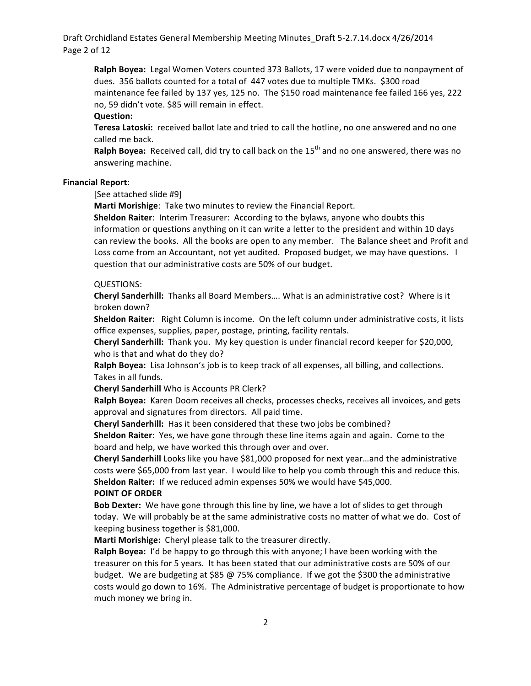Draft Orchidland Estates General Membership Meeting Minutes\_Draft 5-2.7.14.docx 4/26/2014 Page 2 of 12

Ralph Boyea: Legal Women Voters counted 373 Ballots, 17 were voided due to nonpayment of dues. 356 ballots counted for a total of 447 votes due to multiple TMKs. \$300 road maintenance fee failed by 137 yes, 125 no. The \$150 road maintenance fee failed 166 yes, 222 no, 59 didn't vote. \$85 will remain in effect.

#### **Question:**

Teresa Latoski: received ballot late and tried to call the hotline, no one answered and no one called me back.

**Ralph Boyea:** Received call, did try to call back on the 15<sup>th</sup> and no one answered, there was no answering machine.

#### **Financial Report**:

[See attached slide #9]

**Marti Morishige:** Take two minutes to review the Financial Report.

**Sheldon Raiter:** Interim Treasurer: According to the bylaws, anyone who doubts this information or questions anything on it can write a letter to the president and within 10 days can review the books. All the books are open to any member. The Balance sheet and Profit and Loss come from an Accountant, not yet audited. Proposed budget, we may have questions. I question that our administrative costs are 50% of our budget.

#### QUESTIONS:

Cheryl Sanderhill: Thanks all Board Members.... What is an administrative cost? Where is it broken down?

**Sheldon Raiter:** Right Column is income. On the left column under administrative costs, it lists office expenses, supplies, paper, postage, printing, facility rentals.

**Cheryl Sanderhill:** Thank you. My key question is under financial record keeper for \$20,000, who is that and what do they do?

**Ralph Boyea:** Lisa Johnson's job is to keep track of all expenses, all billing, and collections. Takes in all funds.

**Cheryl Sanderhill** Who is Accounts PR Clerk?

**Ralph Boyea:** Karen Doom receives all checks, processes checks, receives all invoices, and gets approval and signatures from directors. All paid time.

**Cheryl Sanderhill:** Has it been considered that these two jobs be combined?

**Sheldon Raiter**: Yes, we have gone through these line items again and again. Come to the board and help, we have worked this through over and over.

**Cheryl Sanderhill** Looks like you have \$81,000 proposed for next year...and the administrative costs were \$65,000 from last year. I would like to help you comb through this and reduce this. **Sheldon Raiter:** If we reduced admin expenses 50% we would have \$45,000.

#### **POINT OF ORDER**

**Bob Dexter:** We have gone through this line by line, we have a lot of slides to get through today. We will probably be at the same administrative costs no matter of what we do. Cost of keeping business together is \$81,000.

Marti Morishige: Cheryl please talk to the treasurer directly.

**Ralph Boyea:** I'd be happy to go through this with anyone; I have been working with the treasurer on this for 5 years. It has been stated that our administrative costs are 50% of our budget. We are budgeting at \$85 @ 75% compliance. If we got the \$300 the administrative costs would go down to 16%. The Administrative percentage of budget is proportionate to how much money we bring in.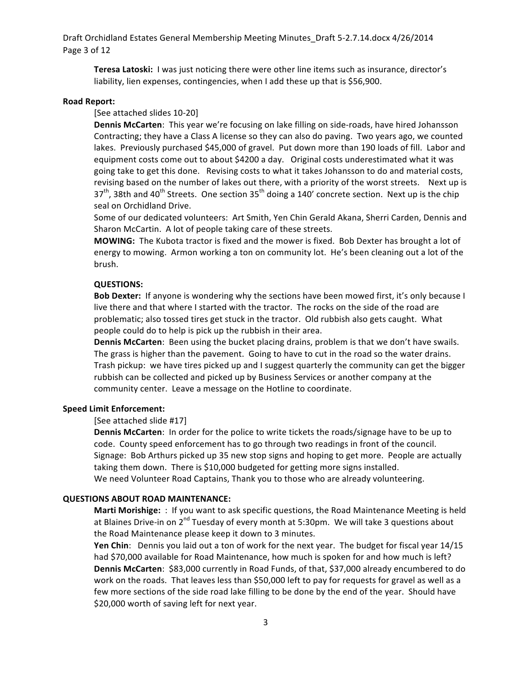Draft Orchidland Estates General Membership Meeting Minutes\_Draft 5-2.7.14.docx 4/26/2014 Page 3 of 12

**Teresa Latoski:** I was just noticing there were other line items such as insurance, director's liability, lien expenses, contingencies, when I add these up that is \$56,900.

### **Road Report:**

# [See attached slides 10-20]

**Dennis McCarten**: This year we're focusing on lake filling on side-roads, have hired Johansson Contracting; they have a Class A license so they can also do paving. Two years ago, we counted lakes. Previously purchased \$45,000 of gravel. Put down more than 190 loads of fill. Labor and equipment costs come out to about \$4200 a day. Original costs underestimated what it was going take to get this done. Revising costs to what it takes Johansson to do and material costs, revising based on the number of lakes out there, with a priority of the worst streets. Next up is  $37<sup>th</sup>$ , 38th and 40<sup>th</sup> Streets. One section  $35<sup>th</sup>$  doing a 140' concrete section. Next up is the chip seal on Orchidland Drive.

Some of our dedicated volunteers: Art Smith, Yen Chin Gerald Akana, Sherri Carden, Dennis and Sharon McCartin. A lot of people taking care of these streets.

MOWING: The Kubota tractor is fixed and the mower is fixed. Bob Dexter has brought a lot of energy to mowing. Armon working a ton on community lot. He's been cleaning out a lot of the brush. 

### **QUESTIONS:**

**Bob Dexter:** If anyone is wondering why the sections have been mowed first, it's only because I live there and that where I started with the tractor. The rocks on the side of the road are problematic; also tossed tires get stuck in the tractor. Old rubbish also gets caught. What people could do to help is pick up the rubbish in their area.

**Dennis McCarten**: Been using the bucket placing drains, problem is that we don't have swails. The grass is higher than the pavement. Going to have to cut in the road so the water drains. Trash pickup: we have tires picked up and I suggest quarterly the community can get the bigger rubbish can be collected and picked up by Business Services or another company at the community center. Leave a message on the Hotline to coordinate.

### **Speed Limit Enforcement:**

#### [See attached slide #17]

**Dennis McCarten:** In order for the police to write tickets the roads/signage have to be up to code. County speed enforcement has to go through two readings in front of the council. Signage: Bob Arthurs picked up 35 new stop signs and hoping to get more. People are actually taking them down. There is \$10,000 budgeted for getting more signs installed. We need Volunteer Road Captains, Thank you to those who are already volunteering.

#### **QUESTIONS ABOUT ROAD MAINTENANCE:**

**Marti Morishige:** : If you want to ask specific questions, the Road Maintenance Meeting is held at Blaines Drive-in on  $2^{nd}$  Tuesday of every month at 5:30pm. We will take 3 questions about the Road Maintenance please keep it down to 3 minutes.

**Yen Chin**: Dennis you laid out a ton of work for the next year. The budget for fiscal year 14/15 had \$70,000 available for Road Maintenance, how much is spoken for and how much is left? **Dennis McCarten:** \$83,000 currently in Road Funds, of that, \$37,000 already encumbered to do work on the roads. That leaves less than \$50,000 left to pay for requests for gravel as well as a few more sections of the side road lake filling to be done by the end of the year. Should have \$20,000 worth of saving left for next year.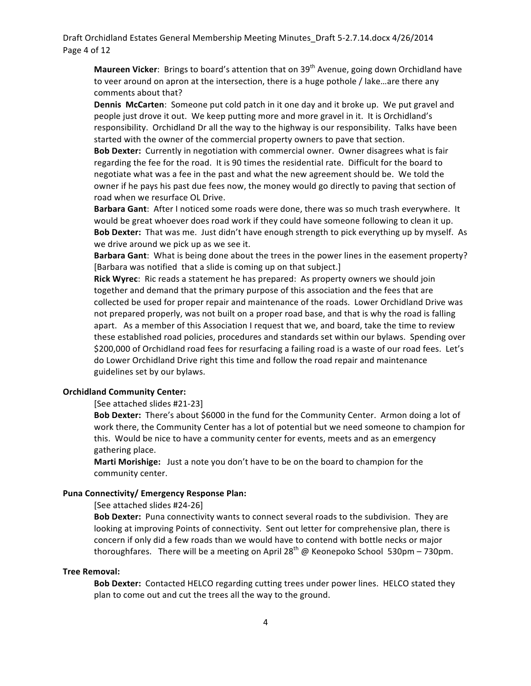Draft Orchidland Estates General Membership Meeting Minutes\_Draft 5-2.7.14.docx 4/26/2014 Page 4 of 12

**Maureen Vicker**: Brings to board's attention that on 39<sup>th</sup> Avenue, going down Orchidland have to veer around on apron at the intersection, there is a huge pothole / lake…are there any comments about that?

**Dennis McCarten:** Someone put cold patch in it one day and it broke up. We put gravel and people just drove it out. We keep putting more and more gravel in it. It is Orchidland's responsibility. Orchidland Dr all the way to the highway is our responsibility. Talks have been started with the owner of the commercial property owners to pave that section.

**Bob Dexter:** Currently in negotiation with commercial owner. Owner disagrees what is fair regarding the fee for the road. It is 90 times the residential rate. Difficult for the board to negotiate what was a fee in the past and what the new agreement should be. We told the owner if he pays his past due fees now, the money would go directly to paving that section of road when we resurface OL Drive.

**Barbara Gant:** After I noticed some roads were done, there was so much trash everywhere. It would be great whoever does road work if they could have someone following to clean it up. **Bob Dexter:** That was me. Just didn't have enough strength to pick everything up by myself. As we drive around we pick up as we see it.

**Barbara Gant:** What is being done about the trees in the power lines in the easement property? [Barbara was notified that a slide is coming up on that subject.]

**Rick Wyrec**: Ric reads a statement he has prepared: As property owners we should join together and demand that the primary purpose of this association and the fees that are collected be used for proper repair and maintenance of the roads. Lower Orchidland Drive was not prepared properly, was not built on a proper road base, and that is why the road is falling apart. As a member of this Association I request that we, and board, take the time to review these established road policies, procedures and standards set within our bylaws. Spending over \$200,000 of Orchidland road fees for resurfacing a failing road is a waste of our road fees. Let's do Lower Orchidland Drive right this time and follow the road repair and maintenance guidelines set by our bylaws.

# **Orchidland Community Center:**

## [See attached slides #21-23]

**Bob Dexter:** There's about \$6000 in the fund for the Community Center. Armon doing a lot of work there, the Community Center has a lot of potential but we need someone to champion for this. Would be nice to have a community center for events, meets and as an emergency gathering place.

**Marti Morishige:** Just a note you don't have to be on the board to champion for the community center.

### **Puna Connectivity/ Emergency Response Plan:**

# [See attached slides #24-26]

**Bob Dexter:** Puna connectivity wants to connect several roads to the subdivision. They are looking at improving Points of connectivity. Sent out letter for comprehensive plan, there is concern if only did a few roads than we would have to contend with bottle necks or major thoroughfares. There will be a meeting on April 28<sup>th</sup> @ Keonepoko School 530pm – 730pm.

# **Tree Removal:**

**Bob Dexter:** Contacted HELCO regarding cutting trees under power lines. HELCO stated they plan to come out and cut the trees all the way to the ground.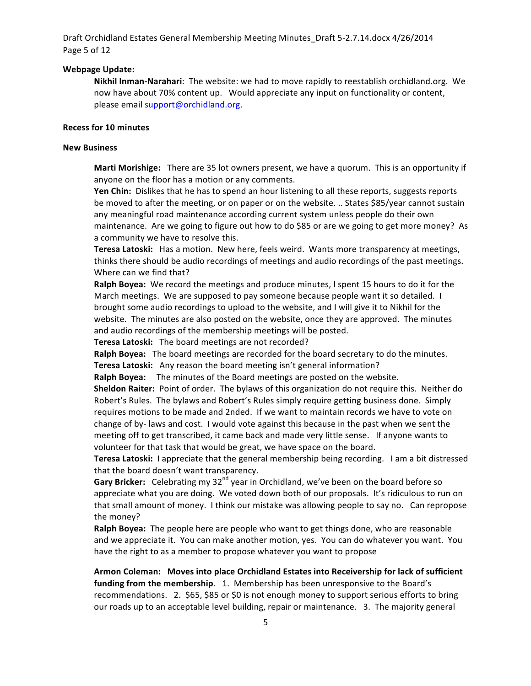Draft Orchidland Estates General Membership Meeting Minutes\_Draft 5-2.7.14.docx 4/26/2014 Page 5 of 12

# **Webpage Update:**

**Nikhil Inman-Narahari**: The website: we had to move rapidly to reestablish orchidland.org. We now have about 70% content up. Would appreciate any input on functionality or content, please email support@orchidland.org.

### **Recess for 10 minutes**

## **New Business**

**Marti Morishige:** There are 35 lot owners present, we have a quorum. This is an opportunity if anyone on the floor has a motion or any comments.

**Yen Chin:** Dislikes that he has to spend an hour listening to all these reports, suggests reports be moved to after the meeting, or on paper or on the website. .. States \$85/year cannot sustain any meaningful road maintenance according current system unless people do their own maintenance. Are we going to figure out how to do \$85 or are we going to get more money? As a community we have to resolve this.

**Teresa Latoski:** Has a motion. New here, feels weird. Wants more transparency at meetings, thinks there should be audio recordings of meetings and audio recordings of the past meetings. Where can we find that?

**Ralph Boyea:** We record the meetings and produce minutes, I spent 15 hours to do it for the March meetings. We are supposed to pay someone because people want it so detailed. I brought some audio recordings to upload to the website, and I will give it to Nikhil for the website. The minutes are also posted on the website, once they are approved. The minutes and audio recordings of the membership meetings will be posted.

**Teresa Latoski:** The board meetings are not recorded?

**Ralph Boyea:** The board meetings are recorded for the board secretary to do the minutes. **Teresa Latoski:** Any reason the board meeting isn't general information?

**Ralph Boyea:** The minutes of the Board meetings are posted on the website.

**Sheldon Raiter:** Point of order. The bylaws of this organization do not require this. Neither do Robert's Rules. The bylaws and Robert's Rules simply require getting business done. Simply requires motions to be made and 2nded. If we want to maintain records we have to vote on change of by- laws and cost. I would vote against this because in the past when we sent the meeting off to get transcribed, it came back and made very little sense. If anyone wants to volunteer for that task that would be great, we have space on the board.

**Teresa Latoski:** I appreciate that the general membership being recording. I am a bit distressed that the board doesn't want transparency.

**Gary Bricker:** Celebrating my 32<sup>nd</sup> year in Orchidland, we've been on the board before so appreciate what you are doing. We voted down both of our proposals. It's ridiculous to run on that small amount of money. I think our mistake was allowing people to say no. Can repropose the money?

Ralph Boyea: The people here are people who want to get things done, who are reasonable and we appreciate it. You can make another motion, yes. You can do whatever you want. You have the right to as a member to propose whatever you want to propose

Armon Coleman: Moves into place Orchidland Estates into Receivership for lack of sufficient **funding from the membership**. 1. Membership has been unresponsive to the Board's recommendations. 2. \$65, \$85 or \$0 is not enough money to support serious efforts to bring our roads up to an acceptable level building, repair or maintenance. 3. The majority general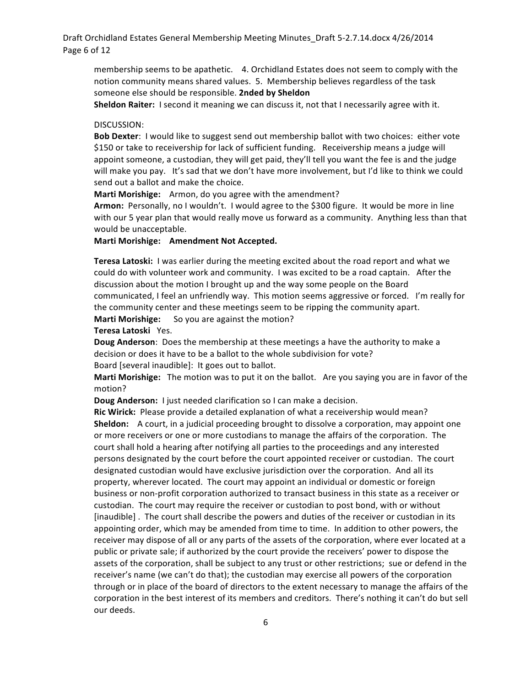# Draft Orchidland Estates General Membership Meeting Minutes\_Draft 5-2.7.14.docx 4/26/2014 Page 6 of 12

membership seems to be apathetic. 4. Orchidland Estates does not seem to comply with the notion community means shared values. 5. Membership believes regardless of the task someone else should be responsible. **2nded by Sheldon** 

**Sheldon Raiter:** I second it meaning we can discuss it, not that I necessarily agree with it.

# DISCUSSION:

**Bob Dexter:** I would like to suggest send out membership ballot with two choices: either vote \$150 or take to receivership for lack of sufficient funding. Receivership means a judge will appoint someone, a custodian, they will get paid, they'll tell you want the fee is and the judge will make you pay. It's sad that we don't have more involvement, but I'd like to think we could send out a ballot and make the choice.

**Marti Morishige:** Armon, do you agree with the amendment?

Armon: Personally, no I wouldn't. I would agree to the \$300 figure. It would be more in line with our 5 year plan that would really move us forward as a community. Anything less than that would be unacceptable.

# **Marti Morishige: Amendment Not Accepted.**

**Teresa Latoski:** I was earlier during the meeting excited about the road report and what we could do with volunteer work and community. I was excited to be a road captain. After the discussion about the motion I brought up and the way some people on the Board communicated, I feel an unfriendly way. This motion seems aggressive or forced. I'm really for the community center and these meetings seem to be ripping the community apart.

**Marti Morishige:** So you are against the motion?

**Teresa Latoski** Yes.

**Doug Anderson:** Does the membership at these meetings a have the authority to make a decision or does it have to be a ballot to the whole subdivision for vote? Board [several inaudible]: It goes out to ballot.

**Marti Morishige:** The motion was to put it on the ballot. Are you saying you are in favor of the motion?

**Doug Anderson:** I just needed clarification so I can make a decision.

**Ric Wirick:** Please provide a detailed explanation of what a receivership would mean? **Sheldon:** A court, in a judicial proceeding brought to dissolve a corporation, may appoint one or more receivers or one or more custodians to manage the affairs of the corporation. The court shall hold a hearing after notifying all parties to the proceedings and any interested persons designated by the court before the court appointed receiver or custodian. The court designated custodian would have exclusive jurisdiction over the corporation. And all its property, wherever located. The court may appoint an individual or domestic or foreign business or non-profit corporation authorized to transact business in this state as a receiver or custodian. The court may require the receiver or custodian to post bond, with or without [inaudible]. The court shall describe the powers and duties of the receiver or custodian in its appointing order, which may be amended from time to time. In addition to other powers, the receiver may dispose of all or any parts of the assets of the corporation, where ever located at a public or private sale; if authorized by the court provide the receivers' power to dispose the assets of the corporation, shall be subject to any trust or other restrictions; sue or defend in the receiver's name (we can't do that); the custodian may exercise all powers of the corporation through or in place of the board of directors to the extent necessary to manage the affairs of the corporation in the best interest of its members and creditors. There's nothing it can't do but sell our deeds.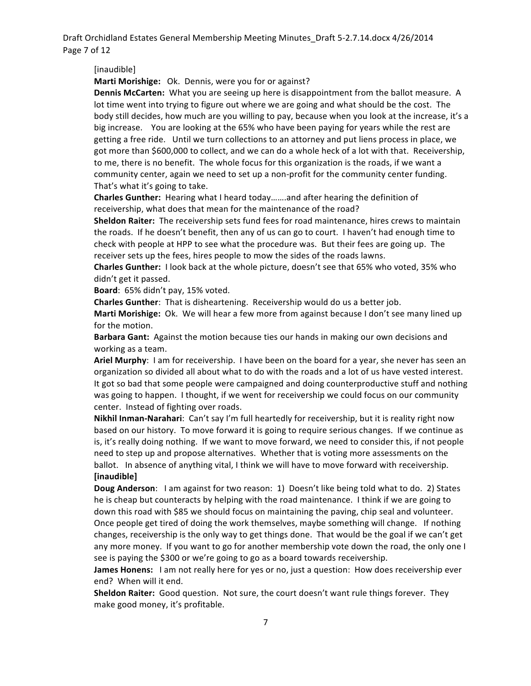Draft Orchidland Estates General Membership Meeting Minutes\_Draft 5-2.7.14.docx 4/26/2014 Page 7 of 12

[inaudible]

**Marti Morishige:** Ok. Dennis, were you for or against?

**Dennis McCarten:** What you are seeing up here is disappointment from the ballot measure. A lot time went into trying to figure out where we are going and what should be the cost. The body still decides, how much are you willing to pay, because when you look at the increase, it's a big increase. You are looking at the 65% who have been paying for years while the rest are getting a free ride. Until we turn collections to an attorney and put liens process in place, we got more than \$600,000 to collect, and we can do a whole heck of a lot with that. Receivership, to me, there is no benefit. The whole focus for this organization is the roads, if we want a community center, again we need to set up a non-profit for the community center funding. That's what it's going to take.

**Charles Gunther:** Hearing what I heard today…….and after hearing the definition of receivership, what does that mean for the maintenance of the road?

**Sheldon Raiter:** The receivership sets fund fees for road maintenance, hires crews to maintain the roads. If he doesn't benefit, then any of us can go to court. I haven't had enough time to check with people at HPP to see what the procedure was. But their fees are going up. The receiver sets up the fees, hires people to mow the sides of the roads lawns.

**Charles Gunther:** I look back at the whole picture, doesn't see that 65% who voted, 35% who didn't get it passed.

Board: 65% didn't pay, 15% voted.

**Charles Gunther:** That is disheartening. Receivership would do us a better job.

Marti Morishige: Ok. We will hear a few more from against because I don't see many lined up for the motion.

Barbara Gant: Against the motion because ties our hands in making our own decisions and working as a team.

Ariel Murphy: I am for receivership. I have been on the board for a year, she never has seen an organization so divided all about what to do with the roads and a lot of us have vested interest. It got so bad that some people were campaigned and doing counterproductive stuff and nothing was going to happen. I thought, if we went for receivership we could focus on our community center. Instead of fighting over roads.

**Nikhil Inman-Narahari:** Can't say I'm full heartedly for receivership, but it is reality right now based on our history. To move forward it is going to require serious changes. If we continue as is, it's really doing nothing. If we want to move forward, we need to consider this, if not people need to step up and propose alternatives. Whether that is voting more assessments on the ballot. In absence of anything vital, I think we will have to move forward with receivership. **[inaudible]**

**Doug Anderson**: I am against for two reason: 1) Doesn't like being told what to do. 2) States he is cheap but counteracts by helping with the road maintenance. I think if we are going to down this road with \$85 we should focus on maintaining the paving, chip seal and volunteer. Once people get tired of doing the work themselves, maybe something will change. If nothing changes, receivership is the only way to get things done. That would be the goal if we can't get any more money. If you want to go for another membership vote down the road, the only one I see is paying the \$300 or we're going to go as a board towards receivership.

**James Honens:** I am not really here for yes or no, just a question: How does receivership ever end? When will it end.

**Sheldon Raiter:** Good question. Not sure, the court doesn't want rule things forever. They make good money, it's profitable.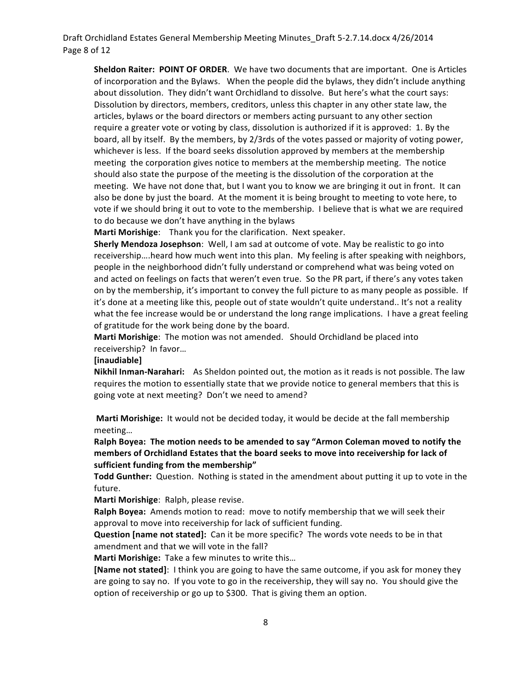# Draft Orchidland Estates General Membership Meeting Minutes\_Draft 5-2.7.14.docx 4/26/2014 Page 8 of 12

**Sheldon Raiter: POINT OF ORDER.** We have two documents that are important. One is Articles of incorporation and the Bylaws. When the people did the bylaws, they didn't include anything about dissolution. They didn't want Orchidland to dissolve. But here's what the court says: Dissolution by directors, members, creditors, unless this chapter in any other state law, the articles, bylaws or the board directors or members acting pursuant to any other section require a greater vote or voting by class, dissolution is authorized if it is approved: 1. By the board, all by itself. By the members, by 2/3rds of the votes passed or majority of voting power, whichever is less. If the board seeks dissolution approved by members at the membership meeting the corporation gives notice to members at the membership meeting. The notice should also state the purpose of the meeting is the dissolution of the corporation at the meeting. We have not done that, but I want you to know we are bringing it out in front. It can also be done by just the board. At the moment it is being brought to meeting to vote here, to vote if we should bring it out to vote to the membership. I believe that is what we are required to do because we don't have anything in the bylaws

**Marti Morishige:** Thank you for the clarification. Next speaker.

**Sherly Mendoza Josephson:** Well, I am sad at outcome of vote. May be realistic to go into receivership....heard how much went into this plan. My feeling is after speaking with neighbors, people in the neighborhood didn't fully understand or comprehend what was being voted on and acted on feelings on facts that weren't even true. So the PR part, if there's any votes taken on by the membership, it's important to convey the full picture to as many people as possible. If it's done at a meeting like this, people out of state wouldn't quite understand.. It's not a reality what the fee increase would be or understand the long range implications. I have a great feeling of gratitude for the work being done by the board.

**Marti Morishige**: The motion was not amended. Should Orchidland be placed into receivership? In favor...

#### **[inaudiable]**

**Nikhil Inman-Narahari:** As Sheldon pointed out, the motion as it reads is not possible. The law requires the motion to essentially state that we provide notice to general members that this is going vote at next meeting? Don't we need to amend?

**Marti Morishige:** It would not be decided today, it would be decide at the fall membership meeting…

Ralph Boyea: The motion needs to be amended to say "Armon Coleman moved to notify the members of Orchidland Estates that the board seeks to move into receivership for lack of sufficient funding from the membership"

Todd Gunther: Question. Nothing is stated in the amendment about putting it up to vote in the future.

Marti Morishige: Ralph, please revise.

**Ralph Boyea:** Amends motion to read: move to notify membership that we will seek their approval to move into receivership for lack of sufficient funding.

**Question [name not stated]:** Can it be more specific? The words vote needs to be in that amendment and that we will vote in the fall?

**Marti Morishige:** Take a few minutes to write this...

**[Name not stated]**: I think you are going to have the same outcome, if you ask for money they are going to say no. If you vote to go in the receivership, they will say no. You should give the option of receivership or go up to \$300. That is giving them an option.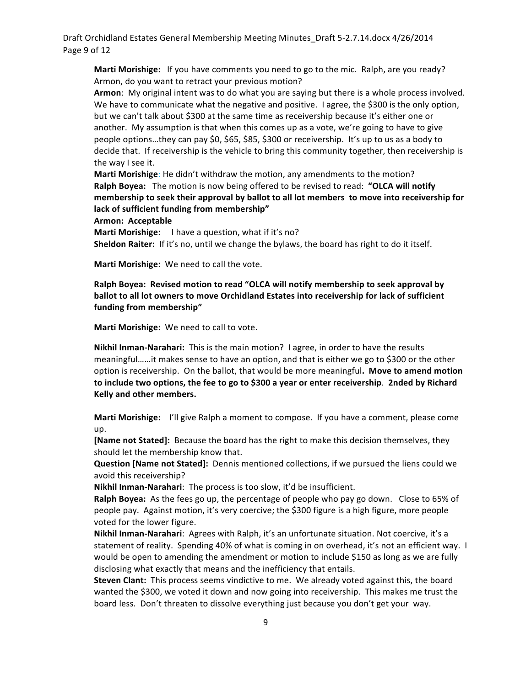Draft Orchidland Estates General Membership Meeting Minutes\_Draft 5-2.7.14.docx 4/26/2014 Page 9 of 12

**Marti Morishige:** If you have comments you need to go to the mic. Ralph, are you ready? Armon, do you want to retract your previous motion?

Armon: My original intent was to do what you are saying but there is a whole process involved. We have to communicate what the negative and positive. I agree, the \$300 is the only option, but we can't talk about \$300 at the same time as receivership because it's either one or another. My assumption is that when this comes up as a vote, we're going to have to give people options...they can pay \$0, \$65, \$85, \$300 or receivership. It's up to us as a body to decide that. If receivership is the vehicle to bring this community together, then receivership is the way I see it.

**Marti Morishige**: He didn't withdraw the motion, any amendments to the motion? **Ralph Boyea:** The motion is now being offered to be revised to read: "OLCA will notify **membership to seek their approval by ballot to all lot members to move into receivership for** lack of sufficient funding from membership"

Armon: Acceptable

**Marti Morishige:** I have a question, what if it's no? **Sheldon Raiter:** If it's no, until we change the bylaws, the board has right to do it itself.

Marti Morishige: We need to call the vote.

Ralph Boyea: Revised motion to read "OLCA will notify membership to seek approval by ballot to all lot owners to move Orchidland Estates into receivership for lack of sufficient funding from membership"

Marti Morishige: We need to call to vote.

**Nikhil Inman-Narahari:** This is the main motion? I agree, in order to have the results meaningful……it makes sense to have an option, and that is either we go to \$300 or the other option is receivership. On the ballot, that would be more meaningful. Move to amend motion to include two options, the fee to go to \$300 a year or enter receivership. 2nded by Richard **Kelly and other members.**

**Marti Morishige:** I'll give Ralph a moment to compose. If you have a comment, please come up.

**[Name not Stated]:** Because the board has the right to make this decision themselves, they should let the membership know that.

**Question [Name not Stated]:** Dennis mentioned collections, if we pursued the liens could we avoid this receivership?

**Nikhil Inman-Narahari:** The process is too slow, it'd be insufficient.

**Ralph Boyea:** As the fees go up, the percentage of people who pay go down. Close to 65% of people pay. Against motion, it's very coercive; the \$300 figure is a high figure, more people voted for the lower figure.

Nikhil Inman-Narahari: Agrees with Ralph, it's an unfortunate situation. Not coercive, it's a statement of reality. Spending 40% of what is coming in on overhead, it's not an efficient way. I would be open to amending the amendment or motion to include \$150 as long as we are fully disclosing what exactly that means and the inefficiency that entails.

**Steven Clant:** This process seems vindictive to me. We already voted against this, the board wanted the \$300, we voted it down and now going into receivership. This makes me trust the board less. Don't threaten to dissolve everything just because you don't get your way.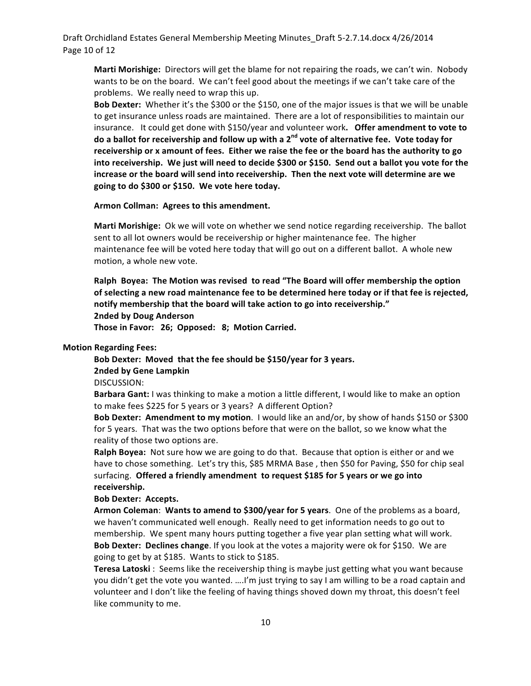Draft Orchidland Estates General Membership Meeting Minutes\_Draft 5-2.7.14.docx 4/26/2014 Page 10 of 12

**Marti Morishige:** Directors will get the blame for not repairing the roads, we can't win. Nobody wants to be on the board. We can't feel good about the meetings if we can't take care of the problems. We really need to wrap this up.

**Bob Dexter:** Whether it's the \$300 or the \$150, one of the major issues is that we will be unable to get insurance unless roads are maintained. There are a lot of responsibilities to maintain our insurance. It could get done with \$150/year and volunteer work. Offer amendment to vote to do a ballot for receivership and follow up with a 2<sup>nd</sup> vote of alternative fee. Vote today for receivership or x amount of fees. Either we raise the fee or the board has the authority to go into receivership. We just will need to decide \$300 or \$150. Send out a ballot you vote for the increase or the board will send into receivership. Then the next vote will determine are we going to do \$300 or \$150. We vote here today.

#### Armon Collman: Agrees to this amendment.

**Marti Morishige:** Ok we will vote on whether we send notice regarding receivership. The ballot sent to all lot owners would be receivership or higher maintenance fee. The higher maintenance fee will be voted here today that will go out on a different ballot. A whole new motion, a whole new vote.

Ralph Boyea: The Motion was revised to read "The Board will offer membership the option of selecting a new road maintenance fee to be determined here today or if that fee is rejected, notify membership that the board will take action to go into receivership."

**2nded by Doug Anderson**

Those in Favor: 26; Opposed: 8; Motion Carried.

#### **Motion Regarding Fees:**

Bob Dexter: Moved that the fee should be \$150/year for 3 years. **2nded by Gene Lampkin**

DISCUSSION:

**Barbara Gant:** I was thinking to make a motion a little different, I would like to make an option to make fees \$225 for 5 years or 3 years? A different Option?

**Bob Dexter: Amendment to my motion.** I would like an and/or, by show of hands \$150 or \$300 for 5 years. That was the two options before that were on the ballot, so we know what the reality of those two options are.

**Ralph Boyea:** Not sure how we are going to do that. Because that option is either or and we have to chose something. Let's try this, \$85 MRMA Base, then \$50 for Paving, \$50 for chip seal surfacing. Offered a friendly amendment to request \$185 for 5 years or we go into **receivership.**

#### **Bob Dexter: Accepts.**

Armon Coleman: Wants to amend to \$300/year for 5 years. One of the problems as a board, we haven't communicated well enough. Really need to get information needs to go out to membership. We spent many hours putting together a five year plan setting what will work. **Bob Dexter: Declines change**. If you look at the votes a majority were ok for \$150. We are going to get by at \$185. Wants to stick to \$185.

**Teresa Latoski** : Seems like the receivership thing is maybe just getting what you want because you didn't get the vote you wanted. ....I'm just trying to say I am willing to be a road captain and volunteer and I don't like the feeling of having things shoved down my throat, this doesn't feel like community to me.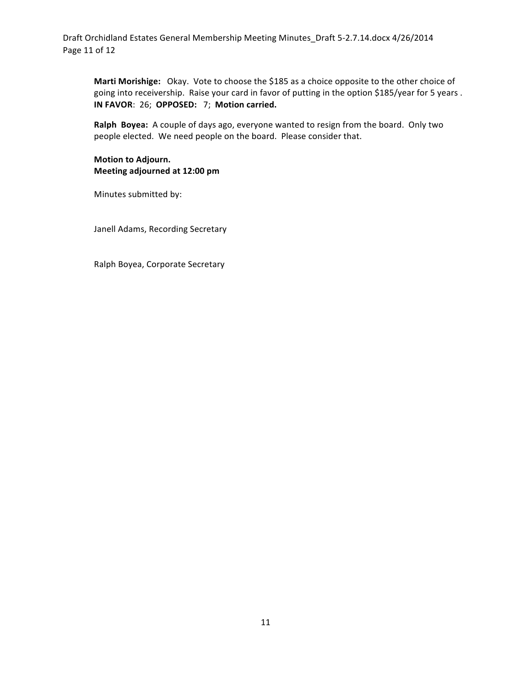Draft Orchidland Estates General Membership Meeting Minutes\_Draft 5-2.7.14.docx 4/26/2014 Page 11 of 12

Marti Morishige: Okay. Vote to choose the \$185 as a choice opposite to the other choice of going into receivership. Raise your card in favor of putting in the option \$185/year for 5 years. **IN FAVOR: 26; OPPOSED: 7; Motion carried.** 

**Ralph Boyea:** A couple of days ago, everyone wanted to resign from the board. Only two people elected. We need people on the board. Please consider that.

# **Motion to Adjourn. Meeting adjourned at 12:00 pm**

Minutes submitted by:

Janell Adams, Recording Secretary

Ralph Boyea, Corporate Secretary